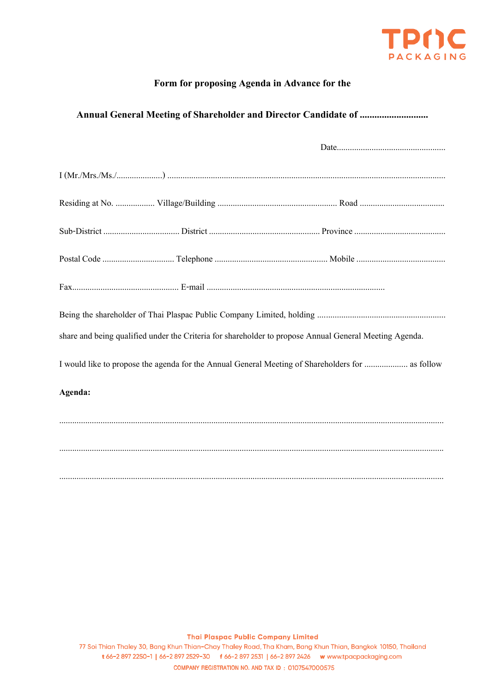

# Form for proposing Agenda in Advance for the

# 

| share and being qualified under the Criteria for shareholder to propose Annual General Meeting Agenda. |  |
|--------------------------------------------------------------------------------------------------------|--|
| I would like to propose the agenda for the Annual General Meeting of Shareholders for  as follow       |  |
| Agenda:                                                                                                |  |
|                                                                                                        |  |
|                                                                                                        |  |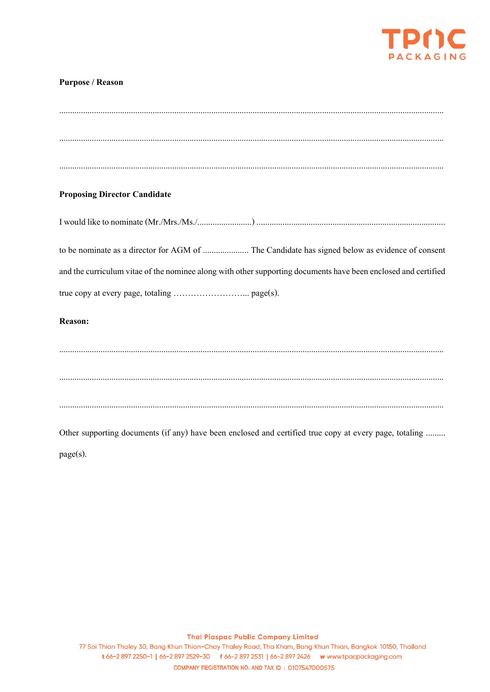

## **Purpose / Reason**

| <b>Proposing Director Candidate</b>                                                                            |
|----------------------------------------------------------------------------------------------------------------|
|                                                                                                                |
| to be nominate as a director for AGM of  The Candidate has signed below as evidence of consent                 |
| and the curriculum vitae of the nominee along with other supporting documents have been enclosed and certified |
|                                                                                                                |
| Reason:                                                                                                        |
|                                                                                                                |
|                                                                                                                |
|                                                                                                                |
|                                                                                                                |
| Other supporting documents (if any) have been enclosed and certified true copy at every page, totaling         |

page(s).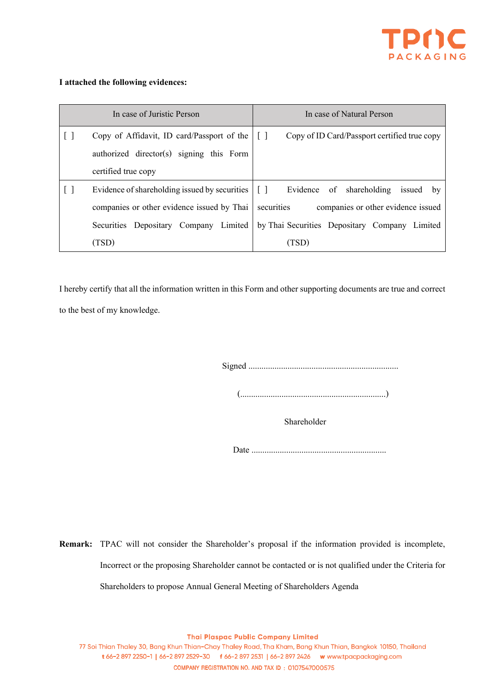

#### **I attached the following evidences:**

|     | In case of Juristic Person                                                    | In case of Natural Person                        |
|-----|-------------------------------------------------------------------------------|--------------------------------------------------|
|     | Copy of Affidavit, ID card/Passport of the                                    | Copy of ID Card/Passport certified true copy     |
|     | authorized director(s) signing this Form                                      |                                                  |
|     | certified true copy                                                           |                                                  |
| l I | Evidence of shareholding issued by securities $\begin{bmatrix} \end{bmatrix}$ | of shareholding<br>Evidence<br>issued<br>by      |
|     | companies or other evidence issued by Thai                                    | securities<br>companies or other evidence issued |
|     | Limited<br>Securities<br>Company<br>Depositary                                | by Thai Securities Depositary Company<br>Limited |
|     | (TSD)                                                                         | (TSD                                             |

I hereby certify that all the information written in this Form and other supporting documents are true and correct to the best of my knowledge.

Signed .....................................................................

(...................................................................)

Shareholder

Date ..............................................................

**Remark:** TPAC will not consider the Shareholder's proposal if the information provided is incomplete, Incorrect or the proposing Shareholder cannot be contacted or is not qualified under the Criteria for Shareholders to propose Annual General Meeting of Shareholders Agenda

**Thai Plaspac Public Company Limited**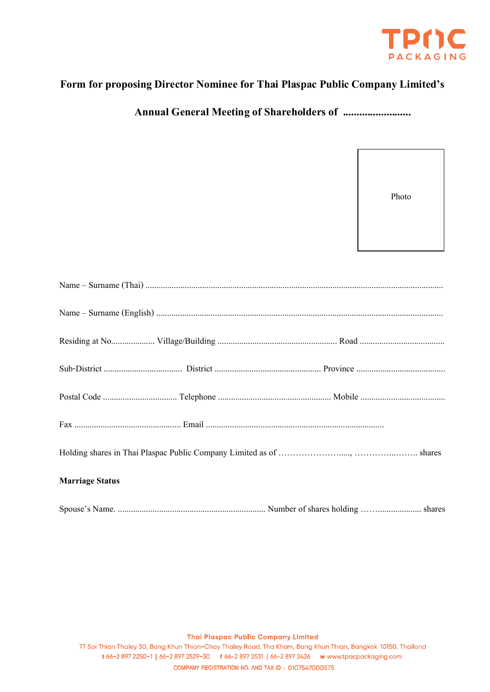

# Form for proposing Director Nominee for Thai Plaspac Public Company Limited's

Photo

| <b>Marriage Status</b> |
|------------------------|
|                        |

**Thai Plaspac Public Company Limited**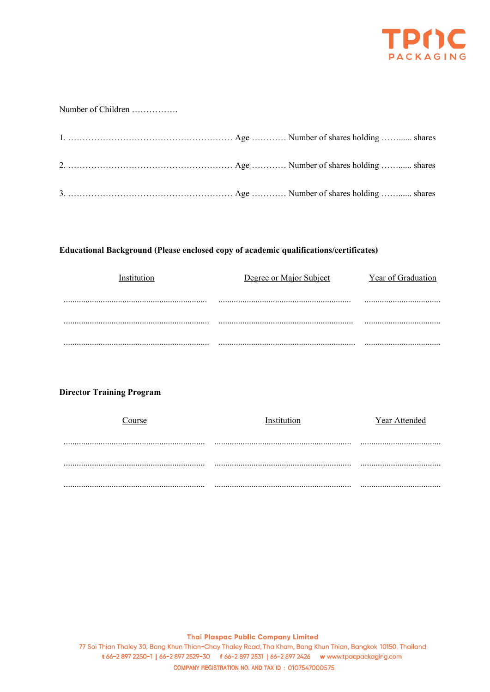

#### Number of Children ................

## Educational Background (Please enclosed copy of academic qualifications/certificates)

| Institution | Degree or Major Subject | Year of Graduation |
|-------------|-------------------------|--------------------|
|             |                         |                    |
|             |                         |                    |
|             |                         |                    |
|             |                         |                    |

## **Director Training Program**

| ourse | 'nstitution | Year Attended |
|-------|-------------|---------------|
|       |             |               |
|       |             |               |
|       |             |               |
|       |             |               |
|       |             |               |
|       |             |               |

**Thai Plaspac Public Company Limited**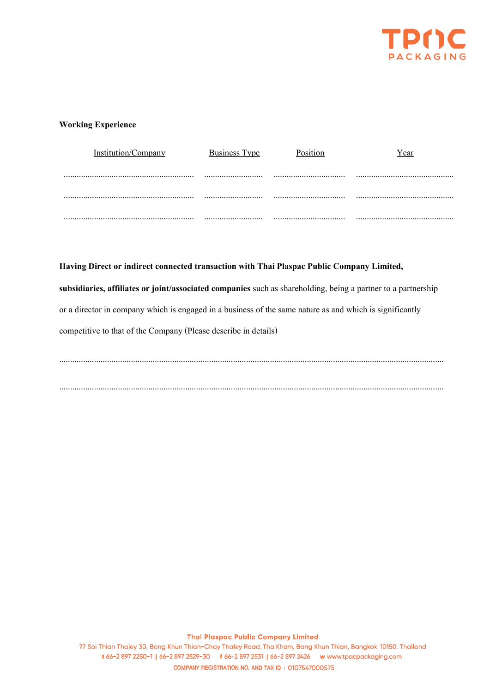

#### **Working Experience**

| Institution/Company | <b>Business Type</b> | Position | Year |
|---------------------|----------------------|----------|------|
|                     |                      |          |      |
|                     |                      |          |      |
|                     |                      |          |      |

# Having Direct or indirect connected transaction with Thai Plaspac Public Company Limited,

subsidiaries, affiliates or joint/associated companies such as shareholding, being a partner to a partnership or a director in company which is engaged in a business of the same nature as and which is significantly competitive to that of the Company (Please describe in details)